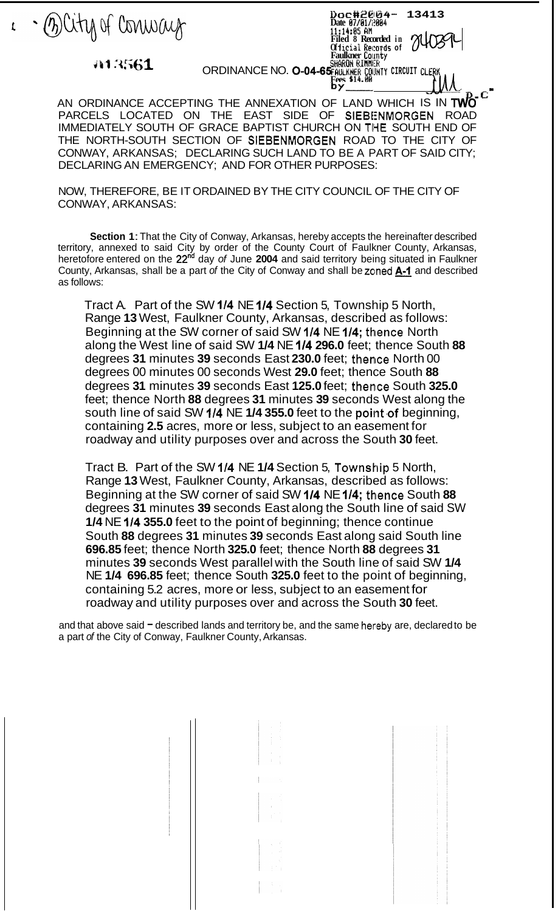

Sharon Rimmi<del>r</del> **ORDINANCE NO. 0-04-65 FAULKDET LOUITY**<br>ORDINANCE NO. 0-04-65 FAULK MER CIRCUIT CLERK **PRODUCE A** 

**Dc3,c#;il@lk34- 13413 Date El7/bl/t!I3B4** 

**11:14:05 Bfl Filed 8 Recorded in Of 1** icrd **hecords of Faulkner Coinnty** 

**Fees \$14.BEi b-'-.- D, t' I**  AN ORDINANCE ACCEPTING THE ANNEXATION OF LAND WHICH IS IN **TWO**  PARCELS LOCATED ON THE EAST SIDE OF SIEBENMORGEN ROAD IMMEDIATELY SOUTH OF GRACE BAPTIST CHURCH ON THE SOUTH END OF CONWAY, ARKANSAS; DECLARING SUCH LAND TO BE A PART OF SAID CITY; DECLARING AN EMERGENCY; AND FOR OTHER PURPOSES: THE NORTH-SOUTH SECTION OF SIEBENMORGEN ROAD TO THE CITY OF

NOW, THEREFORE, BE IT ORDAINED BY THE CITY COUNCIL OF THE CITY OF CONWAY, ARKANSAS:

**Section 1:** That the City of Conway, Arkansas, hereby accepts the hereinafter described territory, annexed to said City by order of the County Court of Faulkner County, Arkansas, heretofore entered on the **22nd** day *of* June **2004** and said territory being situated in Faulkner **Section 1:** That the City of Conway, Arkansas, hereby accepts the hereinafter described territory, annexed to said City by order of the County Court of Faulkner County, Arkansas, heretofore entered on the 22<sup>nd</sup> day of Ju as follows:

Tract A. Part of the SW **114** NE **114** Section 5, Township 5 North, Range **13** West, Faulkner County, Arkansas, described as follows: Beginning at the SW corner of said SW 1/4 NE 1/4; thence North along the West line of said SW **1/4** NE **114 296.0** feet; thence South **88**  degrees 31 minutes 39 seconds East 230.0 feet; thence North 00 degrees 00 minutes 00 seconds West **29.0** feet; thence South **88**  degrees **31** minutes **39** seconds East **125.0** feet; thentce South **325.0**  feet; thence North **88** degrees **31** minutes **39** seconds West along the south line of said SW 1/4 NE 1/4 355.0 feet to the point of beginning, containing **2.5** acres, more or less, subject to an easement for roadway and utility purposes over and across the South **30** feet.

Tract B. Part of the SW **114** NE **1/4** Section 5, Township 5 North, Range **13** West, Faulkner County, Arkansas, described as follows: Beginning at the SW corner of said SW 1/4 NE 1/4; thence South 88 degrees **31** minutes **39** seconds East along the South line of said SW **1/4** NE **114 355.0** feet to the point of beginning; thence continue South **88** degrees **31** minutes **39** seconds East along said South line **696.85** feet; thence North **325.0** feet; thence North **88** degrees **31**  minutes **39** seconds West parallel with the South line of said SW **1/4**  NE **1/4 696.85** feet; thence South **325.0** feet to the point of beginning, containing 5.2 acres, more or less, subject to an easement for roadway and utility purposes over and across the South **30** feet.

and that above said  $=$  described lands and territory be, and the same hereby are, declared to be a part *of* the City of Conway, Faulkner County, Arkansas.